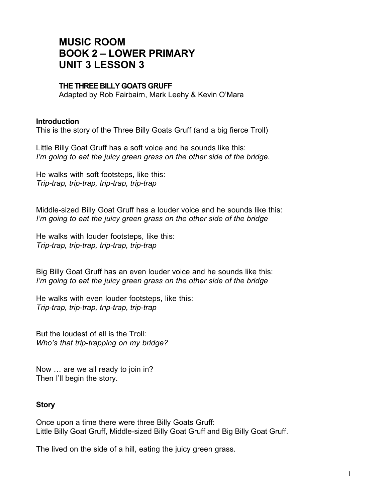## **MUSIC ROOM BOOK 2 – LOWER PRIMARY UNIT 3 LESSON 3**

## **THE THREE BILLY GOATS GRUFF**

Adapted by Rob Fairbairn, Mark Leehy & Kevin O'Mara

## **Introduction**

This is the story of the Three Billy Goats Gruff (and a big fierce Troll)

Little Billy Goat Gruff has a soft voice and he sounds like this: *I'm going to eat the juicy green grass on the other side of the bridge.*

He walks with soft footsteps, like this: *Trip-trap, trip-trap, trip-trap, trip-trap*

Middle-sized Billy Goat Gruff has a louder voice and he sounds like this: *I'm going to eat the juicy green grass on the other side of the bridge*

He walks with louder footsteps, like this: *Trip-trap, trip-trap, trip-trap, trip-trap*

Big Billy Goat Gruff has an even louder voice and he sounds like this: *I'm going to eat the juicy green grass on the other side of the bridge*

He walks with even louder footsteps, like this: *Trip-trap, trip-trap, trip-trap, trip-trap*

But the loudest of all is the Troll: *Who's that trip-trapping on my bridge?*

Now … are we all ready to join in? Then I'll begin the story.

## **Story**

Once upon a time there were three Billy Goats Gruff: Little Billy Goat Gruff, Middle-sized Billy Goat Gruff and Big Billy Goat Gruff.

The lived on the side of a hill, eating the juicy green grass.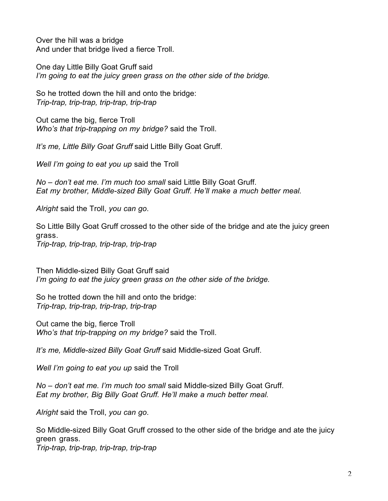Over the hill was a bridge And under that bridge lived a fierce Troll.

One day Little Billy Goat Gruff said *I'm going to eat the juicy green grass on the other side of the bridge.*

So he trotted down the hill and onto the bridge: *Trip-trap, trip-trap, trip-trap, trip-trap*

Out came the big, fierce Troll *Who's that trip-trapping on my bridge?* said the Troll.

*It's me, Little Billy Goat Gruff* said Little Billy Goat Gruff.

*Well I'm going to eat you up* said the Troll

*No – don't eat me. I'm much too small* said Little Billy Goat Gruff. *Eat my brother, Middle-sized Billy Goat Gruff. He'll make a much better meal.*

*Alright* said the Troll, *you can go*.

So Little Billy Goat Gruff crossed to the other side of the bridge and ate the juicy green grass. *Trip-trap, trip-trap, trip-trap, trip-trap*

Then Middle-sized Billy Goat Gruff said *I'm going to eat the juicy green grass on the other side of the bridge.*

So he trotted down the hill and onto the bridge: *Trip-trap, trip-trap, trip-trap, trip-trap*

Out came the big, fierce Troll *Who's that trip-trapping on my bridge?* said the Troll.

*It's me, Middle-sized Billy Goat Gruff* said Middle-sized Goat Gruff.

*Well I'm going to eat you up* said the Troll

*No – don't eat me. I'm much too small* said Middle-sized Billy Goat Gruff. *Eat my brother, Big Billy Goat Gruff. He'll make a much better meal.*

*Alright* said the Troll, *you can go*.

So Middle-sized Billy Goat Gruff crossed to the other side of the bridge and ate the juicy green grass. *Trip-trap, trip-trap, trip-trap, trip-trap*